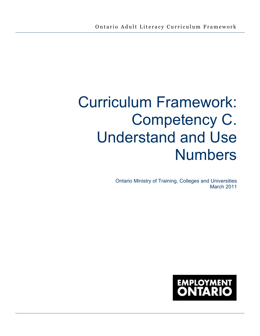# Curriculum Framework: Competency C. Understand and Use Numbers

Ontario Ministry of Training, Colleges and Universities March 2011

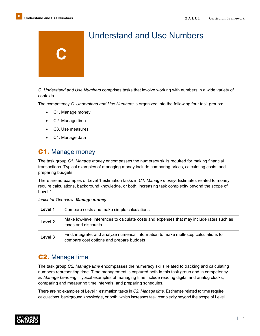

# Understand and Use Numbers

*C. Understand and Use Numbers* comprises tasks that involve working with numbers in a wide variety of contexts.

The competency *C. Understand and Use Numbers* is organized into the following four task groups:

- C1. Manage money
- C2. Manage time
- C3. Use measures
- C4. Manage data

# C1. Manage money

The task group *C1. Manage money* encompasses the numeracy skills required for making financial transactions. Typical examples of managing money include comparing prices, calculating costs, and preparing budgets.

There are no examples of Level 1 estimation tasks in *C1. Manage money.* Estimates related to money require calculations, background knowledge, or both, increasing task complexity beyond the scope of Level 1.

|  | <b>Indicator Overview: Manage money</b> |  |  |
|--|-----------------------------------------|--|--|
|--|-----------------------------------------|--|--|

| Level 1 | Compare costs and make simple calculations                                                                                        |
|---------|-----------------------------------------------------------------------------------------------------------------------------------|
| Level 2 | Make low-level inferences to calculate costs and expenses that may include rates such as<br>taxes and discounts                   |
| Level 3 | Find, integrate, and analyze numerical information to make multi-step calculations to<br>compare cost options and prepare budgets |

# C2. Manage time

The task group *C2. Manage time* encompasses the numeracy skills related to tracking and calculating numbers representing time. Time management is captured both in this task group and in competency *E. Manage Learning*. Typical examples of managing time include reading digital and analog clocks, comparing and measuring time intervals, and preparing schedules.

There are no examples of Level 1 estimation tasks in *C2. Manage time.* Estimates related to time require calculations, background knowledge, or both, which increases task complexity beyond the scope of Level 1.

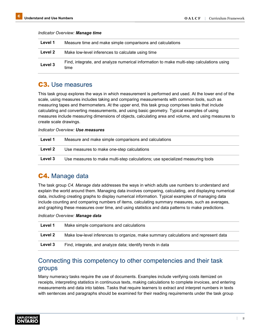| Level 1 | Measure time and make simple comparisons and calculations                                        |
|---------|--------------------------------------------------------------------------------------------------|
| Level 2 | Make low-level inferences to calculate using time                                                |
| Level 3 | Find, integrate, and analyze numerical information to make multi-step calculations using<br>time |

#### *Indicator Overview: Manage time*

# C3. Use measures

This task group explores the ways in which measurement is performed and used. At the lower end of the scale, using measures includes taking and comparing measurements with common tools, such as measuring tapes and thermometers. At the upper end, this task group comprises tasks that include calculating and converting measurements, and using basic geometry. Typical examples of using measures include measuring dimensions of objects, calculating area and volume, and using measures to create scale drawings.

#### *Indicator Overview: Use measures*

| Level 1 | Measure and make simple comparisons and calculations                          |
|---------|-------------------------------------------------------------------------------|
| Level 2 | Use measures to make one-step calculations                                    |
| Level 3 | Use measures to make multi-step calculations; use specialized measuring tools |

# C4. Manage data

The task group *C4. Manage data* addresses the ways in which adults use numbers to understand and explain the world around them. Managing data involves comparing, calculating, and displaying numerical data, including creating graphs to display numerical information. Typical examples of managing data include counting and comparing numbers of items, calculating summary measures, such as averages, and graphing these measures over time, and using statistics and data patterns to make predictions.

#### *Indicator Overview: Manage data*

| Level 1 | Make simple comparisons and calculations                                            |
|---------|-------------------------------------------------------------------------------------|
| Level 2 | Make low-level inferences to organize, make summary calculations and represent data |
| Level 3 | Find, integrate, and analyze data; identify trends in data                          |

# Connecting this competency to other competencies and their task groups

Many numeracy tasks require the use of documents. Examples include verifying costs itemized on receipts, interpreting statistics in continuous texts, making calculations to complete invoices, and entering measurements and data into tables. Tasks that require learners to extract and interpret numbers in texts with sentences and paragraphs should be examined for their reading requirements under the task group

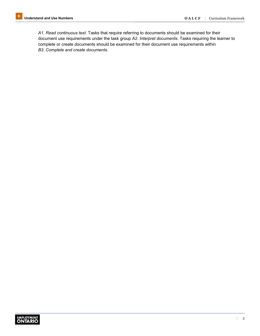*A1. Read continuous text*. Tasks that require referring to documents should be examined for their document use requirements under the task group *A2. Interpret documents*. Tasks requiring the learner to complete or create documents should be examined for their document use requirements within *B3. Complete and create documents*.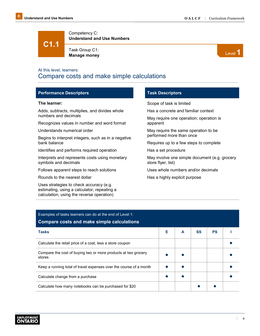**C1.1**

Competency C: **Understand and Use Numbers**

Task Group C1: Task Group C1:<br>**Manage money** Level **1** 



# At this level, learners: Compare costs and make simple calculations

## **Performance Descriptors**

#### **The learner:**

Adds, subtracts, multiplies, and divides whole numbers and decimals

Recognizes values in number and word format

Understands numerical order

Begins to interpret integers, such as in a negative bank balance

Identifies and performs required operation

Interprets and represents costs using monetary symbols and decimals

Follows apparent steps to reach solutions

Rounds to the nearest dollar

Uses strategies to check accuracy (e.g. estimating, using a calculator, repeating a calculation, using the reverse operation)

## **Task Descriptors**

Scope of task is limited

Has a concrete and familiar context

May require one operation; operation is apparent

May require the same operation to be performed more than once

Requires up to a few steps to complete

Has a set procedure

May involve one simple document (e.g. grocery store flyer, list)

Uses whole numbers and/or decimals

Has a highly explicit purpose

| Examples of tasks learners can do at the end of Level 1:<br><b>Compare costs and make simple calculations</b> |   |   |    |           |  |
|---------------------------------------------------------------------------------------------------------------|---|---|----|-----------|--|
| Tasks                                                                                                         | Е | A | SS | <b>PS</b> |  |
| Calculate the retail price of a coat, less a store coupon                                                     |   |   |    |           |  |
| Compare the cost of buying two or more products at two grocery<br>stores                                      |   |   |    |           |  |
| Keep a running total of travel expenses over the course of a month                                            |   |   |    |           |  |
| Calculate change from a purchase                                                                              |   |   |    |           |  |
| Calculate how many notebooks can be purchased for \$20                                                        |   |   |    |           |  |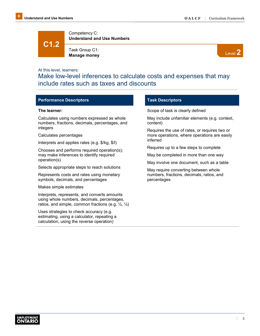**C1.2**

Competency C: **Understand and Use Numbers**

Task Group C1: **Manage money**



#### At this level, learners:

Make low-level inferences to calculate costs and expenses that may include rates such as taxes and discounts

#### **Performance Descriptors**

#### **The learner:**

Calculates using numbers expressed as whole numbers, fractions, decimals, percentages, and integers

#### Calculates percentages

Interprets and applies rates (e.g. \$/kg, \$/l)

Chooses and performs required operation(s); may make inferences to identify required operation(s)

Selects appropriate steps to reach solutions

Represents costs and rates using monetary symbols, decimals, and percentages

Makes simple estimates

Interprets, represents, and converts amounts using whole numbers, decimals, percentages, ratios, and simple, common fractions (e.g.  $\frac{1}{2}$ ,  $\frac{1}{4}$ )

Uses strategies to check accuracy (e.g. estimating, using a calculator, repeating a calculation, using the reverse operation)

## **Task Descriptors**

Scope of task is clearly defined

May include unfamiliar elements (e.g. context, content)

Requires the use of rates, or requires two or more operations, where operations are easily inferred

Requires up to a few steps to complete

May be completed in more than one way

May involve one document, such as a table

May require converting between whole numbers, fractions, decimals, ratios, and percentages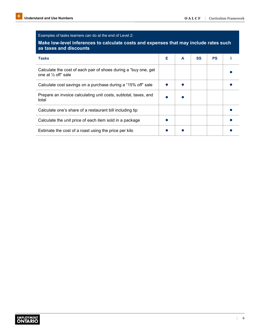# Examples of tasks learners can do at the end of Level 2:

# **Make low-level inferences to calculate costs and expenses that may include rates such as taxes and discounts**

| $19700$ and around $110$                                                                 |   |   |    |           |  |
|------------------------------------------------------------------------------------------|---|---|----|-----------|--|
| <b>Tasks</b>                                                                             | Е | A | SS | <b>PS</b> |  |
| Calculate the cost of each pair of shoes during a "buy one, get"<br>one at 1/2 off" sale |   |   |    |           |  |
| Calculate cost savings on a purchase during a "15% off" sale                             |   |   |    |           |  |
| Prepare an invoice calculating unit costs, subtotal, taxes, and<br>total                 |   |   |    |           |  |
| Calculate one's share of a restaurant bill including tip                                 |   |   |    |           |  |
| Calculate the unit price of each item sold in a package                                  |   |   |    |           |  |
| Estimate the cost of a roast using the price per kilo                                    |   |   |    |           |  |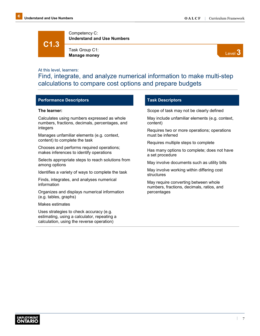**C1.3**

Competency C: **Understand and Use Numbers**

Task Group C1: **Manage money**



## At this level, learners:

Find, integrate, and analyze numerical information to make multi-step calculations to compare cost options and prepare budgets

# **Performance Descriptors**

#### **The learner:**

Calculates using numbers expressed as whole numbers, fractions, decimals, percentages, and integers

Manages unfamiliar elements (e.g. context, content) to complete the task

Chooses and performs required operations; makes inferences to identify operations

Selects appropriate steps to reach solutions from among options

Identifies a variety of ways to complete the task

Finds, integrates, and analyses numerical information

Organizes and displays numerical information (e.g. tables, graphs)

Makes estimates

Uses strategies to check accuracy (e.g. estimating, using a calculator, repeating a calculation, using the reverse operation)

## **Task Descriptors**

Scope of task may not be clearly defined

May include unfamiliar elements (e.g. context, content)

Requires two or more operations; operations must be inferred

Requires multiple steps to complete

Has many options to complete; does not have a set procedure

May involve documents such as utility bills

May involve working within differing cost structures

May require converting between whole numbers, fractions, decimals, ratios, and percentages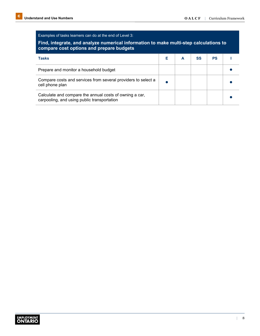# Examples of tasks learners can do at the end of Level 3:

# **Find, integrate, and analyze numerical information to make multi-step calculations to compare cost options and prepare budgets**

| <b>Tasks</b>                                                                                           |  | SS | <b>PS</b> |  |
|--------------------------------------------------------------------------------------------------------|--|----|-----------|--|
| Prepare and monitor a household budget                                                                 |  |    |           |  |
| Compare costs and services from several providers to select a<br>cell phone plan                       |  |    |           |  |
| Calculate and compare the annual costs of owning a car,<br>carpooling, and using public transportation |  |    |           |  |

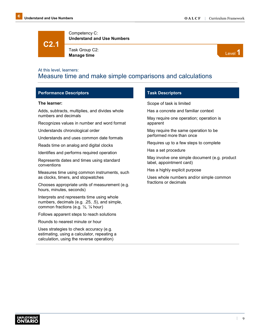**C2.1**

Competency C: **Understand and Use Numbers**

Task Group C2: Task Group C2:<br>**Manage time** Level **1** 



# At this level, learners: Measure time and make simple comparisons and calculations

#### **Performance Descriptors**

#### **The learner:**

Adds, subtracts, multiplies, and divides whole numbers and decimals

Recognizes values in number and word format

Understands chronological order

Understands and uses common date formats

Reads time on analog and digital clocks

Identifies and performs required operation

Represents dates and times using standard conventions

Measures time using common instruments, such as clocks, timers, and stopwatches

Chooses appropriate units of measurement (e.g. hours, minutes, seconds)

Interprets and represents time using whole numbers, decimals (e.g. .25, .5), and simple, common fractions (e.g. ½, ¼ hour)

Follows apparent steps to reach solutions

Rounds to nearest minute or hour

Uses strategies to check accuracy (e.g. estimating, using a calculator, repeating a calculation, using the reverse operation)

#### **Task Descriptors**

Scope of task is limited

Has a concrete and familiar context

May require one operation; operation is apparent

May require the same operation to be performed more than once

Requires up to a few steps to complete

Has a set procedure

May involve one simple document (e.g. product label, appointment card)

Has a highly explicit purpose

Uses whole numbers and/or simple common fractions or decimals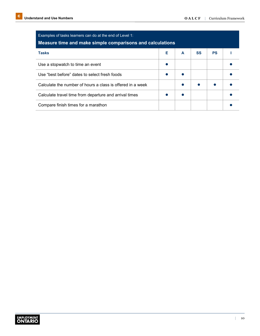| Examples of tasks learners can do at the end of Level 1:<br>Measure time and make simple comparisons and calculations |   |   |    |           |  |
|-----------------------------------------------------------------------------------------------------------------------|---|---|----|-----------|--|
| <b>Tasks</b>                                                                                                          | Е | A | SS | <b>PS</b> |  |
| Use a stopwatch to time an event                                                                                      |   |   |    |           |  |
| Use "best before" dates to select fresh foods                                                                         |   |   |    |           |  |
| Calculate the number of hours a class is offered in a week                                                            |   |   |    |           |  |
| Calculate travel time from departure and arrival times                                                                |   |   |    |           |  |
| Compare finish times for a marathon                                                                                   |   |   |    |           |  |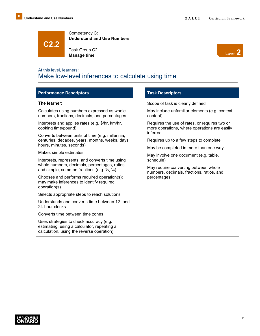**C2.2**

Competency C: **Understand and Use Numbers**

Task Group C2: **Manage time**



# At this level, learners: Make low-level inferences to calculate using time

## **Performance Descriptors**

#### **The learner:**

Calculates using numbers expressed as whole numbers, fractions, decimals, and percentages

Interprets and applies rates (e.g. \$/hr, km/hr, cooking time/pound)

Converts between units of time (e.g. millennia, centuries, decades, years, months, weeks, days, hours, minutes, seconds)

Makes simple estimates

Interprets, represents, and converts time using whole numbers, decimals, percentages, ratios, and simple, common fractions (e.g.  $\frac{1}{2}$ ,  $\frac{1}{4}$ )

Chooses and performs required operation(s); may make inferences to identify required operation(s)

Selects appropriate steps to reach solutions

Understands and converts time between 12- and 24-hour clocks

Converts time between time zones

Uses strategies to check accuracy (e.g. estimating, using a calculator, repeating a calculation, using the reverse operation)

## **Task Descriptors**

Scope of task is clearly defined

May include unfamiliar elements (e.g. context, content)

Requires the use of rates, or requires two or more operations, where operations are easily inferred

Requires up to a few steps to complete

May be completed in more than one way

May involve one document (e.g. table, schedule)

May require converting between whole numbers, decimals, fractions, ratios, and percentages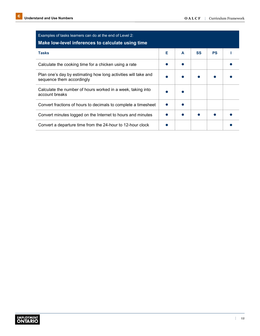| Examples of tasks learners can do at the end of Level 2:<br>Make low-level inferences to calculate using time |   |   |           |           |  |
|---------------------------------------------------------------------------------------------------------------|---|---|-----------|-----------|--|
| <b>Tasks</b>                                                                                                  | F | A | <b>SS</b> | <b>PS</b> |  |
| Calculate the cooking time for a chicken using a rate                                                         |   |   |           |           |  |
| Plan one's day by estimating how long activities will take and<br>sequence them accordingly                   |   |   |           |           |  |
| Calculate the number of hours worked in a week, taking into<br>account breaks                                 |   |   |           |           |  |
| Convert fractions of hours to decimals to complete a timesheet                                                |   |   |           |           |  |
| Convert minutes logged on the Internet to hours and minutes                                                   |   |   |           |           |  |
| Convert a departure time from the 24-hour to 12-hour clock                                                    |   |   |           |           |  |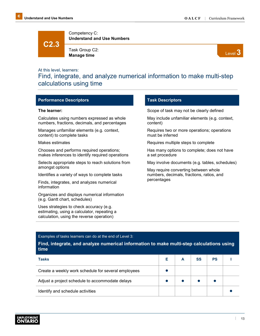**C2.3**

Competency C: **Understand and Use Numbers**

Task Group C2: **Manage time**



## At this level, learners:

Find, integrate, and analyze numerical information to make multi-step calculations using time

#### **Performance Descriptors**

#### **The learner:**

Calculates using numbers expressed as whole numbers, fractions, decimals, and percentages

Manages unfamiliar elements (e.g. context, content) to complete tasks

Makes estimates

Chooses and performs required operations; makes inferences to identify required operations

Selects appropriate steps to reach solutions from amongst options

Identifies a variety of ways to complete tasks

Finds, integrates, and analyzes numerical information

Organizes and displays numerical information (e.g. Gantt chart, schedules)

Uses strategies to check accuracy (e.g. estimating, using a calculator, repeating a calculation, using the reverse operation)

## **Task Descriptors**

Scope of task may not be clearly defined

May include unfamiliar elements (e.g. context, content)

Requires two or more operations; operations must be inferred

Requires multiple steps to complete

Has many options to complete; does not have a set procedure

May involve documents (e.g. tables, schedules)

May require converting between whole numbers, decimals, fractions, ratios, and percentages

#### Examples of tasks learners can do at the end of Level 3:

**Find, integrate, and analyze numerical information to make multi-step calculations using time**

| Tasks                                               |  | SS | <b>PS</b> |  |
|-----------------------------------------------------|--|----|-----------|--|
| Create a weekly work schedule for several employees |  |    |           |  |
| Adjust a project schedule to accommodate delays     |  |    |           |  |
| Identify and schedule activities                    |  |    |           |  |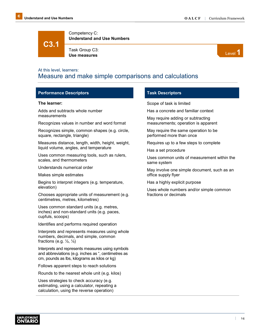**C3.1**

Competency C: **Understand and Use Numbers**

Task Group C3: Task Group C3:<br>Use measures **Level 1** 



# At this level, learners: Measure and make simple comparisons and calculations

## **Performance Descriptors**

#### **The learner:**

Adds and subtracts whole number measurements

Recognizes values in number and word format

Recognizes simple, common shapes (e.g. circle, square, rectangle, triangle)

Measures distance, length, width, height, weight, liquid volume, angles, and temperature

Uses common measuring tools, such as rulers, scales, and thermometers

Understands numerical order

Makes simple estimates

Begins to interpret integers (e.g. temperature, elevation)

Chooses appropriate units of measurement (e.g. centimetres, metres, kilometres)

Uses common standard units (e.g. metres, inches) and non-standard units (e.g. paces, cupfuls, scoops)

Identifies and performs required operation

Interprets and represents measures using whole numbers, decimals, and simple, common fractions (e.g.  $\frac{1}{2}$ ,  $\frac{1}{4}$ )

Interprets and represents measures using symbols and abbreviations (e.g. inches as ", centimetres as cm, pounds as lbs, kilograms as kilos or kg)

Follows apparent steps to reach solutions

Rounds to the nearest whole unit (e.g. kilos)

Uses strategies to check accuracy (e.g. estimating, using a calculator, repeating a calculation, using the reverse operation)

## **Task Descriptors**

Scope of task is limited

Has a concrete and familiar context

May require adding or subtracting measurements; operation is apparent

May require the same operation to be performed more than once

Requires up to a few steps to complete

Has a set procedure

Uses common units of measurement within the same system

May involve one simple document, such as an office supply flyer

Has a highly explicit purpose

Uses whole numbers and/or simple common fractions or decimals

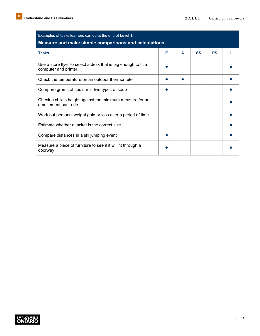| Examples of tasks learners can do at the end of Level 1:<br>Measure and make simple comparisons and calculations |   |   |           |           |  |  |
|------------------------------------------------------------------------------------------------------------------|---|---|-----------|-----------|--|--|
| <b>Tasks</b>                                                                                                     | Е | A | <b>SS</b> | <b>PS</b> |  |  |
| Use a store flyer to select a desk that is big enough to fit a<br>computer and printer                           |   |   |           |           |  |  |
| Check the temperature on an outdoor thermometer                                                                  |   |   |           |           |  |  |
| Compare grams of sodium in two types of soup                                                                     |   |   |           |           |  |  |
| Check a child's height against the minimum measure for an<br>amusement park ride                                 |   |   |           |           |  |  |
| Work out personal weight gain or loss over a period of time                                                      |   |   |           |           |  |  |
| Estimate whether a jacket is the correct size                                                                    |   |   |           |           |  |  |
| Compare distances in a ski jumping event                                                                         |   |   |           |           |  |  |
| Measure a piece of furniture to see if it will fit through a<br>doorway                                          |   |   |           |           |  |  |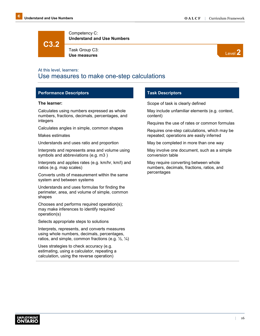**C3.2**

Competency C: **Understand and Use Numbers**

Task Group C3: **Use measures**



# At this level, learners: Use measures to make one-step calculations

# **Performance Descriptors**

#### **The learner:**

Calculates using numbers expressed as whole numbers, fractions, decimals, percentages, and integers

Calculates angles in simple, common shapes

Makes estimates

Understands and uses ratio and proportion

Interprets and represents area and volume using symbols and abbreviations (e.g. m3 )

Interprets and applies rates (e.g. km/hr, km/l) and ratios (e.g. map scales)

Converts units of measurement within the same system and between systems

Understands and uses formulas for finding the perimeter, area, and volume of simple, common shapes

Chooses and performs required operation(s); may make inferences to identify required operation(s)

Selects appropriate steps to solutions

Interprets, represents, and converts measures using whole numbers, decimals, percentages, ratios, and simple, common fractions (e.g.  $\frac{1}{2}$ ,  $\frac{1}{4}$ )

Uses strategies to check accuracy (e.g. estimating, using a calculator, repeating a calculation, using the reverse operation)

## **Task Descriptors**

Scope of task is clearly defined

May include unfamiliar elements (e.g. context, content)

Requires the use of rates or common formulas

Requires one-step calculations, which may be repeated; operations are easily inferred

May be completed in more than one way

May involve one document, such as a simple conversion table

May require converting between whole numbers, decimals, fractions, ratios, and percentages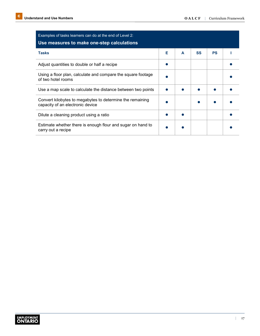| Examples of tasks learners can do at the end of Level 2:<br>Use measures to make one-step calculations |   |   |           |           |  |
|--------------------------------------------------------------------------------------------------------|---|---|-----------|-----------|--|
| <b>Tasks</b>                                                                                           | Е | A | <b>SS</b> | <b>PS</b> |  |
| Adjust quantities to double or half a recipe                                                           |   |   |           |           |  |
| Using a floor plan, calculate and compare the square footage<br>of two hotel rooms                     |   |   |           |           |  |
| Use a map scale to calculate the distance between two points                                           |   |   |           |           |  |
| Convert kilobytes to megabytes to determine the remaining<br>capacity of an electronic device          |   |   |           |           |  |
| Dilute a cleaning product using a ratio                                                                |   |   |           |           |  |
| Estimate whether there is enough flour and sugar on hand to<br>carry out a recipe                      |   |   |           |           |  |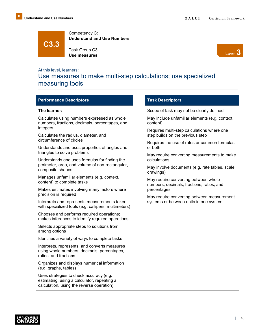**C3.3**

Competency C: **Understand and Use Numbers**

Task Group C3: **Use measures**



# At this level, learners: Use measures to make multi-step calculations; use specialized measuring tools

## **Performance Descriptors**

#### **The learner:**

Calculates using numbers expressed as whole numbers, fractions, decimals, percentages, and integers

Calculates the radius, diameter, and circumference of circles

Understands and uses properties of angles and triangles to solve problems

Understands and uses formulas for finding the perimeter, area, and volume of non-rectangular, composite shapes

Manages unfamiliar elements (e.g. context, content) to complete tasks

Makes estimates involving many factors where precision is required

Interprets and represents measurements taken with specialized tools (e.g. callipers, multimeters)

Chooses and performs required operations; makes inferences to identify required operations

Selects appropriate steps to solutions from among options

Identifies a variety of ways to complete tasks

Interprets, represents, and converts measures using whole numbers, decimals, percentages, ratios, and fractions

Organizes and displays numerical information (e.g. graphs, tables)

Uses strategies to check accuracy (e.g. estimating, using a calculator, repeating a calculation, using the reverse operation)

## **Task Descriptors**

Scope of task may not be clearly defined

May include unfamiliar elements (e.g. context, content)

Requires multi-step calculations where one step builds on the previous step

Requires the use of rates or common formulas or both

May require converting measurements to make calculations

May involve documents (e.g. rate tables, scale drawings)

May require converting between whole numbers, decimals, fractions, ratios, and percentages

May require converting between measurement systems or between units in one system

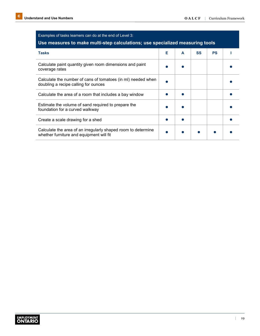| Examples of tasks learners can do at the end of Level 3:<br>Use measures to make multi-step calculations; use specialized measuring tools |   |   |           |           |  |  |
|-------------------------------------------------------------------------------------------------------------------------------------------|---|---|-----------|-----------|--|--|
| <b>Tasks</b>                                                                                                                              | F | A | <b>SS</b> | <b>PS</b> |  |  |
| Calculate paint quantity given room dimensions and paint<br>coverage rates                                                                |   |   |           |           |  |  |
| Calculate the number of cans of tomatoes (in mI) needed when<br>doubling a recipe calling for ounces                                      |   |   |           |           |  |  |
| Calculate the area of a room that includes a bay window                                                                                   |   |   |           |           |  |  |
| Estimate the volume of sand required to prepare the<br>foundation for a curved walkway                                                    |   |   |           |           |  |  |
| Create a scale drawing for a shed                                                                                                         |   |   |           |           |  |  |
| Calculate the area of an irregularly shaped room to determine<br>whether furniture and equipment will fit                                 |   |   |           |           |  |  |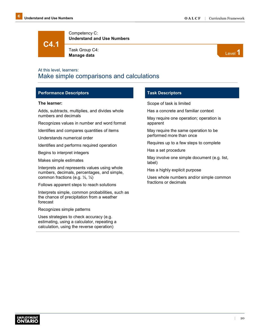**C4.1**

Competency C: **Understand and Use Numbers**

Task Group C4: Task Group C4:<br>**Manage data** Level **1** 



# At this level, learners: Make simple comparisons and calculations

## **Performance Descriptors**

#### **The learner:**

Adds, subtracts, multiplies, and divides whole numbers and decimals

Recognizes values in number and word format

Identifies and compares quantities of items

Understands numerical order

Identifies and performs required operation

Begins to interpret integers

Makes simple estimates

Interprets and represents values using whole numbers, decimals, percentages, and simple, common fractions (e.g. ½, ¼)

Follows apparent steps to reach solutions

Interprets simple, common probabilities, such as the chance of precipitation from a weather forecast

Recognizes simple patterns

Uses strategies to check accuracy (e.g. estimating, using a calculator, repeating a calculation, using the reverse operation)

#### **Task Descriptors**

Scope of task is limited

Has a concrete and familiar context

May require one operation; operation is apparent

May require the same operation to be performed more than once

Requires up to a few steps to complete

Has a set procedure

May involve one simple document (e.g. list, label)

Has a highly explicit purpose

Uses whole numbers and/or simple common fractions or decimals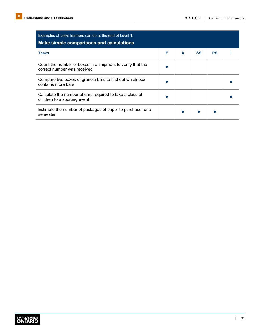| Examples of tasks learners can do at the end of Level 1:<br>Make simple comparisons and calculations |   |   |           |           |  |
|------------------------------------------------------------------------------------------------------|---|---|-----------|-----------|--|
| <b>Tasks</b>                                                                                         | Е | A | <b>SS</b> | <b>PS</b> |  |
| Count the number of boxes in a shipment to verify that the<br>correct number was received            |   |   |           |           |  |
| Compare two boxes of granola bars to find out which box<br>contains more bars                        |   |   |           |           |  |
| Calculate the number of cars required to take a class of<br>children to a sporting event             |   |   |           |           |  |
| Estimate the number of packages of paper to purchase for a<br>semester                               |   |   |           |           |  |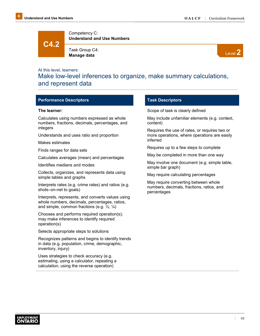**C4.2**

Competency C: **Understand and Use Numbers**

Task Group C4: **Manage data**



## At this level, learners:

Make low-level inferences to organize, make summary calculations, and represent data

#### **Performance Descriptors**

#### **The learner:**

Calculates using numbers expressed as whole numbers, fractions, decimals, percentages, and integers

Understands and uses ratio and proportion

Makes estimates

Finds ranges for data sets

Calculates averages (mean) and percentages

Identifies medians and modes

Collects, organizes, and represents data using simple tables and graphs

Interprets rates (e.g. crime rates) and ratios (e.g. shots–on-net to goals)

Interprets, represents, and converts values using whole numbers, decimals, percentages, ratios, and simple, common fractions (e.g. ½, ¼)

Chooses and performs required operation(s); may make inferences to identify required operation(s)

Selects appropriate steps to solutions

Recognizes patterns and begins to identify trends in data (e.g. population, crime, demographic, inventory, injury)

Uses strategies to check accuracy (e.g. estimating, using a calculator, repeating a calculation, using the reverse operation)

#### **Task Descriptors**

Scope of task is clearly defined

May include unfamiliar elements (e.g. context, content)

Requires the use of rates, or requires two or more operations, where operations are easily inferred

Requires up to a few steps to complete

May be completed in more than one way

May involve one document (e.g. simple table, simple bar graph)

May require calculating percentages

May require converting between whole numbers, decimals, fractions, ratios, and percentages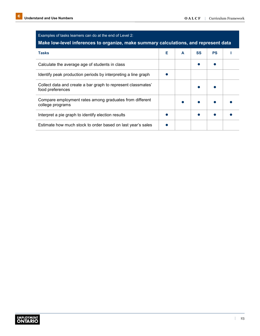| Examples of tasks learners can do at the end of Level 2:<br>Make low-level inferences to organize, make summary calculations, and represent data |   |   |           |           |  |
|--------------------------------------------------------------------------------------------------------------------------------------------------|---|---|-----------|-----------|--|
| <b>Tasks</b>                                                                                                                                     | Е | A | <b>SS</b> | <b>PS</b> |  |
| Calculate the average age of students in class                                                                                                   |   |   |           |           |  |
| Identify peak production periods by interpreting a line graph                                                                                    |   |   |           |           |  |
| Collect data and create a bar graph to represent classmates'<br>food preferences                                                                 |   |   |           |           |  |
| Compare employment rates among graduates from different<br>college programs                                                                      |   |   |           |           |  |
| Interpret a pie graph to identify election results                                                                                               |   |   |           |           |  |
| Estimate how much stock to order based on last year's sales                                                                                      |   |   |           |           |  |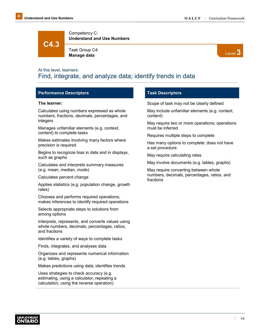**C4.3**

Competency C: **Understand and Use Numbers**

Task Group C4: **Manage data**



# At this level, learners: Find, integrate, and analyze data; identify trends in data

# **Performance Descriptors**

#### **The learner:**

Calculates using numbers expressed as whole numbers, fractions, decimals, percentages, and integers

Manages unfamiliar elements (e.g. context, content) to complete tasks

Makes estimates involving many factors where precision is required

Begins to recognize bias in data and in displays, such as graphs

Calculates and interprets summary measures (e.g. mean, median, mode)

Calculates percent change

Applies statistics (e.g. population change, growth rates)

Chooses and performs required operations; makes inferences to identify required operations

Selects appropriate steps to solutions from among options

Interprets, represents, and converts values using whole numbers, decimals, percentages, ratios, and fractions

Identifies a variety of ways to complete tasks

Finds, integrates, and analyses data

Organizes and represents numerical information (e.g. tables, graphs)

Makes predictions using data; identifies trends

Uses strategies to check accuracy (e.g. estimating, using a calculator, repeating a calculation, using the reverse operation)

## **Task Descriptors**

Scope of task may not be clearly defined

May include unfamiliar elements (e.g. context, content)

May require two or more operations; operations must be inferred

Requires multiple steps to complete

Has many options to complete; does not have a set procedure

May require calculating rates

May involve documents (e.g. tables, graphs)

May require converting between whole numbers, decimals, percentages, ratios, and fractions